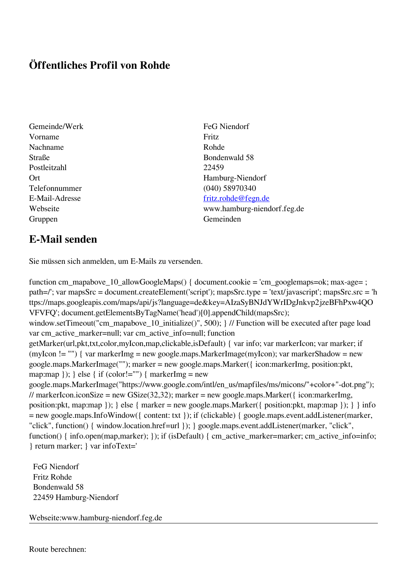## **Öffentliches Profil von Rohde**

- Gemeinde/Werk FeG Niendorf Vorname Fritz Nachname Rohde Straße Bondenwald 58 Postleitzahl 22459 Telefonnummer (040) 58970340 Gruppen Gemeinden Gemeinden Gemeinden Gemeinden Gemeinden Gemeinden Gemeinden Gemeinden Gemeinden Gemeinden G
- Ort Hamburg-Niendorf E-Mail-Adresse [fritz.rohde@fegn.de](mailto:fritz.rohde@fegn.de) Webseite www.hamburg-niendorf.feg.de

## **E-Mail senden**

Sie müssen sich anmelden, um E-Mails zu versenden.

function cm\_mapabove\_10\_allowGoogleMaps() { document.cookie = 'cm\_googlemaps=ok; max-age= ; path=/'; var mapsSrc = document.createElement('script'); mapsSrc.type = 'text/javascript'; mapsSrc.src = 'h ttps://maps.googleapis.com/maps/api/js?language=de&key=AIzaSyBNJdYWrIDgJnkvp2jzeBFhPxw4QO VFVFQ'; document.getElementsByTagName('head')[0].appendChild(mapsSrc); window.setTimeout("cm\_mapabove\_10\_initialize()", 500); } // Function will be executed after page load var cm\_active\_marker=null; var cm\_active\_info=null; function getMarker(url,pkt,txt,color,myIcon,map,clickable,isDefault) { var info; var markerIcon; var marker; if (myIcon != "") { var markerImg = new google.maps.MarkerImage(myIcon); var markerShadow = new google.maps.MarkerImage(""); marker = new google.maps.Marker({ icon:markerImg, position:pkt, map:map  $\}$ ;  $\}$  else  $\{$  if (color!="")  $\{$  markerImg = new google.maps.MarkerImage("https://www.google.com/intl/en\_us/mapfiles/ms/micons/"+color+"-dot.png"); // markerIcon.iconSize = new GSize(32,32); marker = new google.maps.Marker({ $i$ con:markerImg, position:pkt, map:map }); } else { marker = new google.maps.Marker({ position:pkt, map:map }); } } info = new google.maps.InfoWindow({ content: txt }); if (clickable) { google.maps.event.addListener(marker, "click", function() { window.location.href=url }); } google.maps.event.addListener(marker, "click", function() { info.open(map,marker); }); if (isDefault) { cm\_active\_marker=marker; cm\_active\_info=info; } return marker; } var infoText='

 FeG Niendorf Fritz Rohde Bondenwald 58 22459 Hamburg-Niendorf

Webseite:www.hamburg-niendorf.feg.de